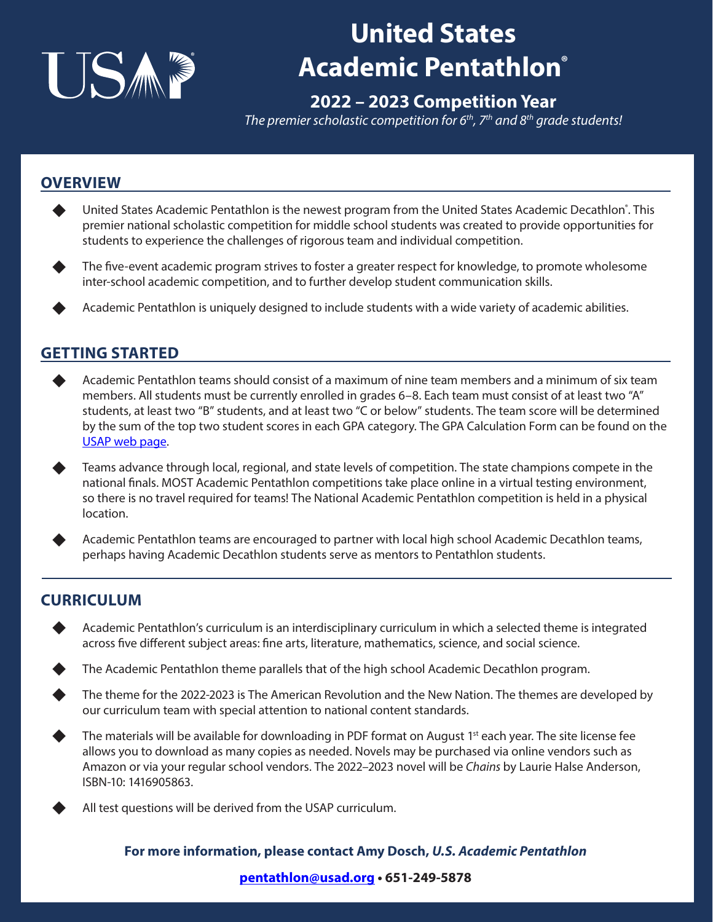

# **United States Academic Pentathlon®**

## **2022 – 2023 Competition Year**

*The premier scholastic competition for 6th, 7th and 8th grade students!*

### **OVERVIEW**

- ◆ United States Academic Pentathlon is the newest program from the United States Academic Decathlon°. This premier national scholastic competition for middle school students was created to provide opportunities for students to experience the challenges of rigorous team and individual competition.
- The five-event academic program strives to foster a greater respect for knowledge, to promote wholesome inter-school academic competition, and to further develop student communication skills.
- Academic Pentathlon is uniquely designed to include students with a wide variety of academic abilities.

### **GETTING STARTED**

- Academic Pentathlon teams should consist of a maximum of nine team members and a minimum of six team members. All students must be currently enrolled in grades 6–8. Each team must consist of at least two "A" students, at least two "B" students, and at least two "C or below" students. The team score will be determined by the sum of the top two student scores in each GPA category. The GPA Calculation Form can be found on the [USAP web page](http://usad.org/Pentathlon.aspx).
	- Teams advance through local, regional, and state levels of competition. The state champions compete in the national finals. MOST Academic Pentathlon competitions take place online in a virtual testing environment, so there is no travel required for teams! The National Academic Pentathlon competition is held in a physical location.
	- Academic Pentathlon teams are encouraged to partner with local high school Academic Decathlon teams, perhaps having Academic Decathlon students serve as mentors to Pentathlon students.

### **CURRICULUM**

- Academic Pentathlon's curriculum is an interdisciplinary curriculum in which a selected theme is integrated across five different subject areas: fine arts, literature, mathematics, science, and social science.
- The Academic Pentathlon theme parallels that of the high school Academic Decathlon program.
- The theme for the 2022-2023 is The American Revolution and the New Nation. The themes are developed by our curriculum team with special attention to national content standards.
- The materials will be available for downloading in PDF format on August 1<sup>st</sup> each year. The site license fee allows you to download as many copies as needed. Novels may be purchased via online vendors such as Amazon or via your regular school vendors. The 2022–2023 novel will be *Chains* by Laurie Halse Anderson, ISBN-10: 1416905863.
	- All test questions will be derived from the USAP curriculum.

#### **For more information, please contact Amy Dosch,** *U.S. Academic Pentathlon*

#### **[pentathlon@usad.org](mailto:pentathlon%40usad.org?subject=) • 651-249-5878**